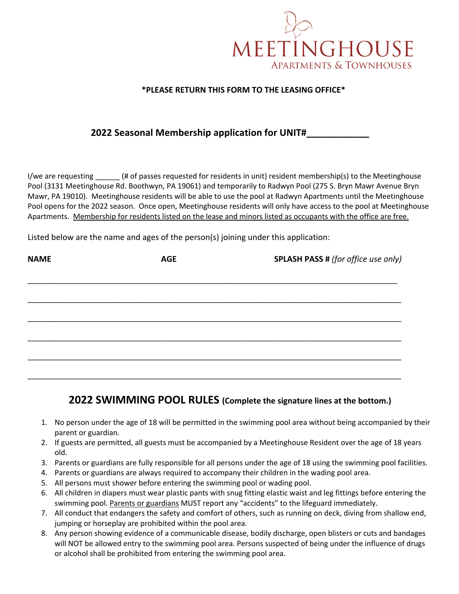

## **\*PLEASE RETURN THIS FORM TO THE LEASING OFFICE\***

## **2022 Seasonal Membership application for UNIT#\_\_\_\_\_\_\_\_\_\_\_\_**

I/we are requesting \_\_\_\_\_\_ (# of passes requested for residents in unit) resident membership(s) to the Meetinghouse Pool (3131 Meetinghouse Rd. Boothwyn, PA 19061) and temporarily to Radwyn Pool (275 S. Bryn Mawr Avenue Bryn Mawr, PA 19010). Meetinghouse residents will be able to use the pool at Radwyn Apartments until the Meetinghouse Pool opens for the 2022 season. Once open, Meetinghouse residents will only have access to the pool at Meetinghouse Apartments. Membership for residents listed on the lease and minors listed as occupants with the office are free.

Listed below are the name and ages of the person(s) joining under this application:

| <b>NAME</b> | <b>AGE</b> | <b>SPLASH PASS # (for office use only)</b> |
|-------------|------------|--------------------------------------------|
|             |            |                                            |
|             |            |                                            |
|             |            |                                            |
|             |            |                                            |
|             |            |                                            |
|             |            |                                            |

## **2022 SWIMMING POOL RULES (Complete the signature lines at the bottom.)**

- 1. No person under the age of 18 will be permitted in the swimming pool area without being accompanied by their parent or guardian.
- 2. If guests are permitted, all guests must be accompanied by a Meetinghouse Resident over the age of 18 years old.
- 3. Parents or guardians are fully responsible for all persons under the age of 18 using the swimming pool facilities.
- 4. Parents or guardians are always required to accompany their children in the wading pool area.
- 5. All persons must shower before entering the swimming pool or wading pool.
- 6. All children in diapers must wear plastic pants with snug fitting elastic waist and leg fittings before entering the swimming pool. Parents or guardians MUST report any "accidents" to the lifeguard immediately.
- 7. All conduct that endangers the safety and comfort of others, such as running on deck, diving from shallow end, jumping or horseplay are prohibited within the pool area.
- 8. Any person showing evidence of a communicable disease, bodily discharge, open blisters or cuts and bandages will NOT be allowed entry to the swimming pool area. Persons suspected of being under the influence of drugs or alcohol shall be prohibited from entering the swimming pool area.